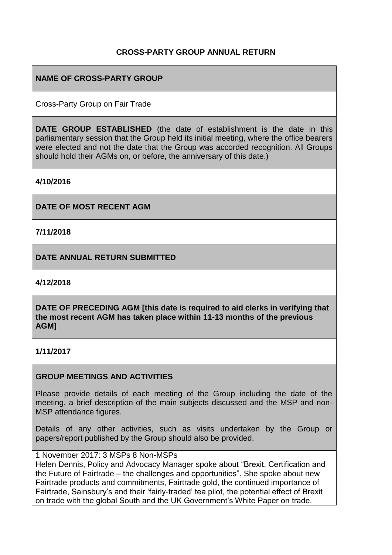### **CROSS-PARTY GROUP ANNUAL RETURN**

## **NAME OF CROSS-PARTY GROUP**

Cross-Party Group on Fair Trade

**DATE GROUP ESTABLISHED** (the date of establishment is the date in this parliamentary session that the Group held its initial meeting, where the office bearers were elected and not the date that the Group was accorded recognition. All Groups should hold their AGMs on, or before, the anniversary of this date.)

**4/10/2016**

**DATE OF MOST RECENT AGM**

**7/11/2018**

**DATE ANNUAL RETURN SUBMITTED**

**4/12/2018**

**DATE OF PRECEDING AGM [this date is required to aid clerks in verifying that the most recent AGM has taken place within 11-13 months of the previous AGM]**

**1/11/2017**

#### **GROUP MEETINGS AND ACTIVITIES**

Please provide details of each meeting of the Group including the date of the meeting, a brief description of the main subjects discussed and the MSP and non-MSP attendance figures.

Details of any other activities, such as visits undertaken by the Group or papers/report published by the Group should also be provided.

1 November 2017: 3 MSPs 8 Non-MSPs

Helen Dennis, Policy and Advocacy Manager spoke about "Brexit, Certification and the Future of Fairtrade – the challenges and opportunities". She spoke about new Fairtrade products and commitments, Fairtrade gold, the continued importance of Fairtrade, Sainsbury's and their 'fairly-traded' tea pilot, the potential effect of Brexit on trade with the global South and the UK Government's White Paper on trade.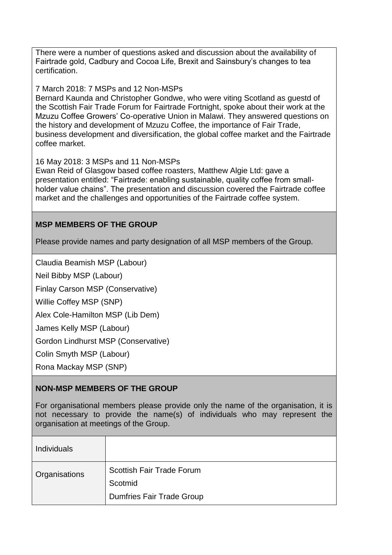There were a number of questions asked and discussion about the availability of Fairtrade gold, Cadbury and Cocoa Life, Brexit and Sainsbury's changes to tea certification.

#### 7 March 2018: 7 MSPs and 12 Non-MSPs

Bernard Kaunda and Christopher Gondwe, who were viting Scotland as guestd of the Scottish Fair Trade Forum for Fairtrade Fortnight, spoke about their work at the Mzuzu Coffee Growers' Co-operative Union in Malawi. They answered questions on the history and development of Mzuzu Coffee, the importance of Fair Trade, business development and diversification, the global coffee market and the Fairtrade coffee market.

#### 16 May 2018: 3 MSPs and 11 Non-MSPs

Ewan Reid of Glasgow based coffee roasters, Matthew Algie Ltd: gave a presentation entitled: "Fairtrade: enabling sustainable, quality coffee from smallholder value chains". The presentation and discussion covered the Fairtrade coffee market and the challenges and opportunities of the Fairtrade coffee system.

#### **MSP MEMBERS OF THE GROUP**

Please provide names and party designation of all MSP members of the Group.

Claudia Beamish MSP (Labour)

Neil Bibby MSP (Labour)

Finlay Carson MSP (Conservative)

Willie Coffey MSP (SNP)

Alex Cole-Hamilton MSP (Lib Dem)

James Kelly MSP (Labour)

Gordon Lindhurst MSP (Conservative)

Colin Smyth MSP (Labour)

Rona Mackay MSP (SNP)

#### **NON-MSP MEMBERS OF THE GROUP**

For organisational members please provide only the name of the organisation, it is not necessary to provide the name(s) of individuals who may represent the organisation at meetings of the Group.

| <b>Individuals</b> |                                  |
|--------------------|----------------------------------|
| Organisations      | <b>Scottish Fair Trade Forum</b> |
|                    | Scotmid                          |
|                    | <b>Dumfries Fair Trade Group</b> |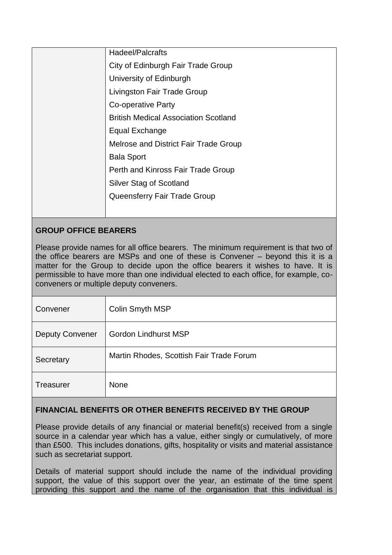| Hadeel/Palcrafts                            |
|---------------------------------------------|
| City of Edinburgh Fair Trade Group          |
| University of Edinburgh                     |
| Livingston Fair Trade Group                 |
| <b>Co-operative Party</b>                   |
| <b>British Medical Association Scotland</b> |
| Equal Exchange                              |
| Melrose and District Fair Trade Group       |
| <b>Bala Sport</b>                           |
| Perth and Kinross Fair Trade Group          |
| <b>Silver Stag of Scotland</b>              |
| Queensferry Fair Trade Group                |
|                                             |
|                                             |

# **GROUP OFFICE BEARERS**

Please provide names for all office bearers. The minimum requirement is that two of the office bearers are MSPs and one of these is Convener – beyond this it is a matter for the Group to decide upon the office bearers it wishes to have. It is permissible to have more than one individual elected to each office, for example, coconveners or multiple deputy conveners.

| Convener               | Colin Smyth MSP                          |
|------------------------|------------------------------------------|
| <b>Deputy Convener</b> | <b>Gordon Lindhurst MSP</b>              |
| Secretary              | Martin Rhodes, Scottish Fair Trade Forum |
| <b>Treasurer</b>       | <b>None</b>                              |

### **FINANCIAL BENEFITS OR OTHER BENEFITS RECEIVED BY THE GROUP**

Please provide details of any financial or material benefit(s) received from a single source in a calendar year which has a value, either singly or cumulatively, of more than £500. This includes donations, gifts, hospitality or visits and material assistance such as secretariat support.

Details of material support should include the name of the individual providing support, the value of this support over the year, an estimate of the time spent providing this support and the name of the organisation that this individual is